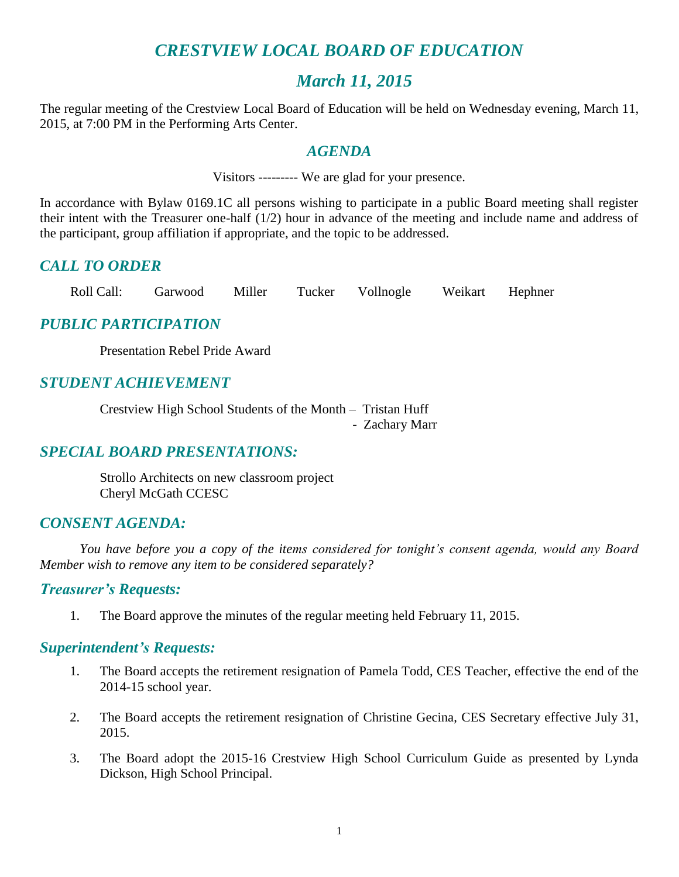## *CRESTVIEW LOCAL BOARD OF EDUCATION*

## *March 11, 2015*

The regular meeting of the Crestview Local Board of Education will be held on Wednesday evening, March 11, 2015, at 7:00 PM in the Performing Arts Center.

#### *AGENDA*

Visitors --------- We are glad for your presence.

In accordance with Bylaw 0169.1C all persons wishing to participate in a public Board meeting shall register their intent with the Treasurer one-half (1/2) hour in advance of the meeting and include name and address of the participant, group affiliation if appropriate, and the topic to be addressed.

## *CALL TO ORDER*

Roll Call: Garwood Miller Tucker Vollnogle Weikart Hephner

## *PUBLIC PARTICIPATION*

Presentation Rebel Pride Award

## *STUDENT ACHIEVEMENT*

Crestview High School Students of the Month – Tristan Huff - Zachary Marr

## *SPECIAL BOARD PRESENTATIONS:*

Strollo Architects on new classroom project Cheryl McGath CCESC

#### *CONSENT AGENDA:*

*You have before you a copy of the items considered for tonight's consent agenda, would any Board Member wish to remove any item to be considered separately?*

#### *Treasurer's Requests:*

1. The Board approve the minutes of the regular meeting held February 11, 2015.

#### *Superintendent's Requests:*

- 1. The Board accepts the retirement resignation of Pamela Todd, CES Teacher, effective the end of the 2014-15 school year.
- 2. The Board accepts the retirement resignation of Christine Gecina, CES Secretary effective July 31, 2015.
- 3. The Board adopt the 2015-16 Crestview High School Curriculum Guide as presented by Lynda Dickson, High School Principal.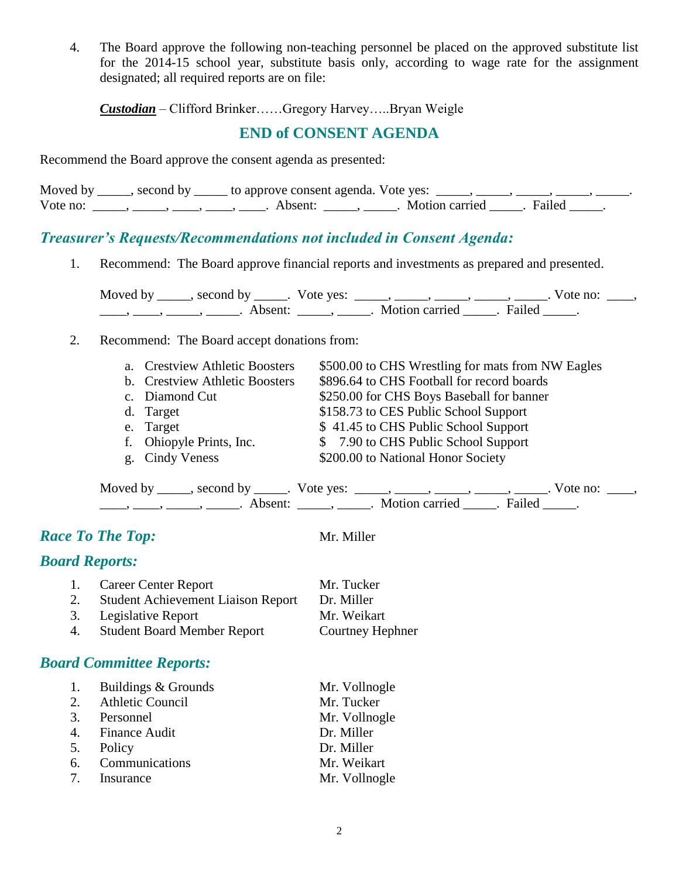4. The Board approve the following non-teaching personnel be placed on the approved substitute list for the 2014-15 school year, substitute basis only, according to wage rate for the assignment designated; all required reports are on file:

*Custodian* – Clifford Brinker……Gregory Harvey…..Bryan Weigle

## **END of CONSENT AGENDA**

Recommend the Board approve the consent agenda as presented:

|          | Moved by _____, second by _____ to approve consent agenda. Vote yes: _____, _____, _ |                           |  |
|----------|--------------------------------------------------------------------------------------|---------------------------|--|
| Vote no: | Absent:                                                                              | . Motion carried . Failed |  |

## *Treasurer's Requests/Recommendations not included in Consent Agenda:*

1. Recommend: The Board approve financial reports and investments as prepared and presented.

Moved by \_\_\_\_\_, second by \_\_\_\_\_. Vote yes:  $\_\_\_\_\_\_\_\_\_\_\_\_\_\_\_$  \_\_\_\_\_, \_\_\_\_\_, \_\_\_\_\_. Vote no:  $\_\_\_\_\_\_\$ \_\_\_\_, \_\_\_\_\_, \_\_\_\_\_\_, Absent: \_\_\_\_\_, \_\_\_\_\_. Motion carried \_\_\_\_\_. Failed \_\_\_\_\_.

2. Recommend: The Board accept donations from:

| a. Crestview Athletic Boosters | \$500.00 to CHS Wrestling for mats from NW Eagles |
|--------------------------------|---------------------------------------------------|
| b. Crestview Athletic Boosters | \$896.64 to CHS Football for record boards        |
| c. Diamond Cut                 | \$250.00 for CHS Boys Baseball for banner         |
| d. Target                      | \$158.73 to CES Public School Support             |
| e. Target                      | \$41.45 to CHS Public School Support              |
| f. Ohiopyle Prints, Inc.       | \$7.90 to CHS Public School Support               |
| g. Cindy Veness                | \$200.00 to National Honor Society                |

| Moved by | second by           | Vote yes: |                |        | ote no: |  |
|----------|---------------------|-----------|----------------|--------|---------|--|
|          | Absent <sup>.</sup> |           | Motion carried | Failed |         |  |

## *Race To The Top:* Mr. Miller

#### *Board Reports:*

| 1. | <b>Career Center Report</b>               | Mr. Tucker       |
|----|-------------------------------------------|------------------|
| 2. | <b>Student Achievement Liaison Report</b> | Dr. Miller       |
|    | 3. Legislative Report                     | Mr. Weikart      |
| 4. | <b>Student Board Member Report</b>        | Courtney Hephner |
|    |                                           |                  |

## *Board Committee Reports:*

| 1. | Buildings & Grounds     | Mr. Vollnogle |
|----|-------------------------|---------------|
| 2. | <b>Athletic Council</b> | Mr. Tucker    |
|    | 3. Personnel            | Mr. Vollnogle |
|    | 4. Finance Audit        | Dr. Miller    |
|    | 5. Policy               | Dr. Miller    |
|    | 6. Communications       | Mr. Weikart   |
|    | 7. Insurance            | Mr. Vollnogle |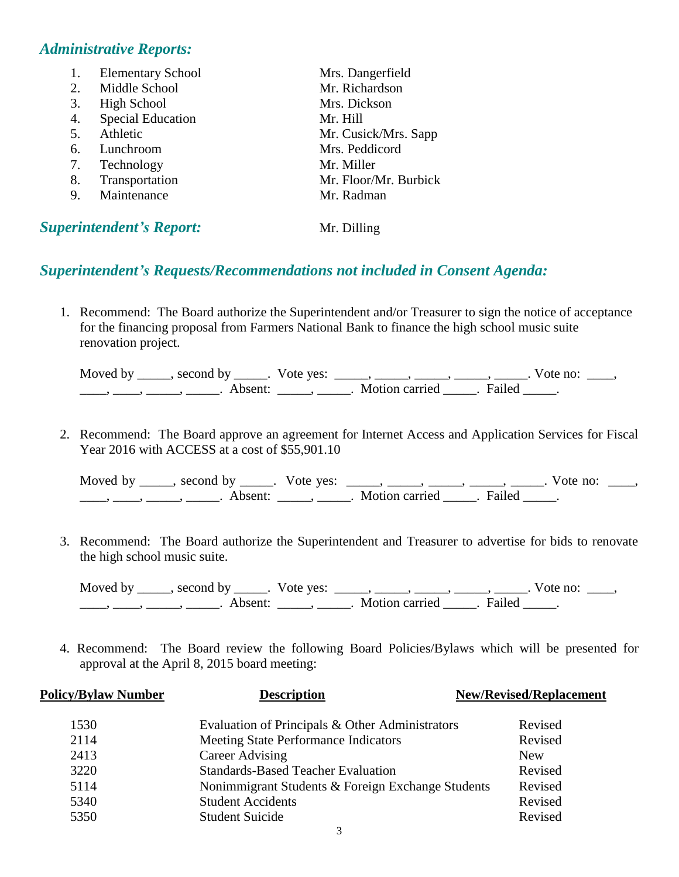#### *Administrative Reports:*

| 1. | <b>Elementary School</b>        | Mrs. Dangerfield      |
|----|---------------------------------|-----------------------|
| 2. | Middle School                   | Mr. Richardson        |
| 3. | <b>High School</b>              | Mrs. Dickson          |
| 4. | <b>Special Education</b>        | Mr. Hill              |
| 5. | Athletic                        | Mr. Cusick/Mrs. Sapp  |
| 6. | Lunchroom                       | Mrs. Peddicord        |
| 7. | Technology                      | Mr. Miller            |
| 8. | Transportation                  | Mr. Floor/Mr. Burbick |
| 9. | Maintenance                     | Mr. Radman            |
|    | <b>Superintendent's Report:</b> | Mr. Dilling           |

#### *Superintendent's Requests/Recommendations not included in Consent Agenda:*

1. Recommend: The Board authorize the Superintendent and/or Treasurer to sign the notice of acceptance for the financing proposal from Farmers National Bank to finance the high school music suite renovation project.

| Moved by $\overline{\phantom{a}}$ | second by           | Vote yes: |                |        | Vote no: |
|-----------------------------------|---------------------|-----------|----------------|--------|----------|
|                                   | Absent <sup>.</sup> |           | Motion carried | Failed |          |

2. Recommend: The Board approve an agreement for Internet Access and Application Services for Fiscal Year 2016 with ACCESS at a cost of \$55,901.10

| Moved by | second by | Vote ves: |                |        | no.<br>vote |  |
|----------|-----------|-----------|----------------|--------|-------------|--|
|          | a heent:  |           | Motion carried | Failed |             |  |

3. Recommend: The Board authorize the Superintendent and Treasurer to advertise for bids to renovate the high school music suite.

Moved by \_\_\_\_\_, second by \_\_\_\_\_. Vote yes:  $\_\_\_\_\_\_\_\_\_\_\_\_\_\_\_$  \_\_\_\_\_, \_\_\_\_\_, \_\_\_\_\_. Vote no:  $\_\_\_\_\_\$ \_\_\_\_\_, \_\_\_\_\_\_, \_\_\_\_\_\_\_. Absent: \_\_\_\_\_\_, \_\_\_\_\_\_. Motion carried \_\_\_\_\_\_. Failed \_\_\_\_\_.

4. Recommend: The Board review the following Board Policies/Bylaws which will be presented for approval at the April 8, 2015 board meeting:

| <b>Policy/Bylaw Number</b> | <b>Description</b>                                | <b>New/Revised/Replacement</b> |
|----------------------------|---------------------------------------------------|--------------------------------|
| 1530                       | Evaluation of Principals & Other Administrators   | Revised                        |
| 2114                       | Meeting State Performance Indicators              | Revised                        |
| 2413                       | <b>Career Advising</b>                            | <b>New</b>                     |
| 3220                       | <b>Standards-Based Teacher Evaluation</b>         | Revised                        |
| 5114                       | Nonimmigrant Students & Foreign Exchange Students | Revised                        |
| 5340                       | <b>Student Accidents</b>                          | Revised                        |
| 5350                       | <b>Student Suicide</b>                            | Revised                        |